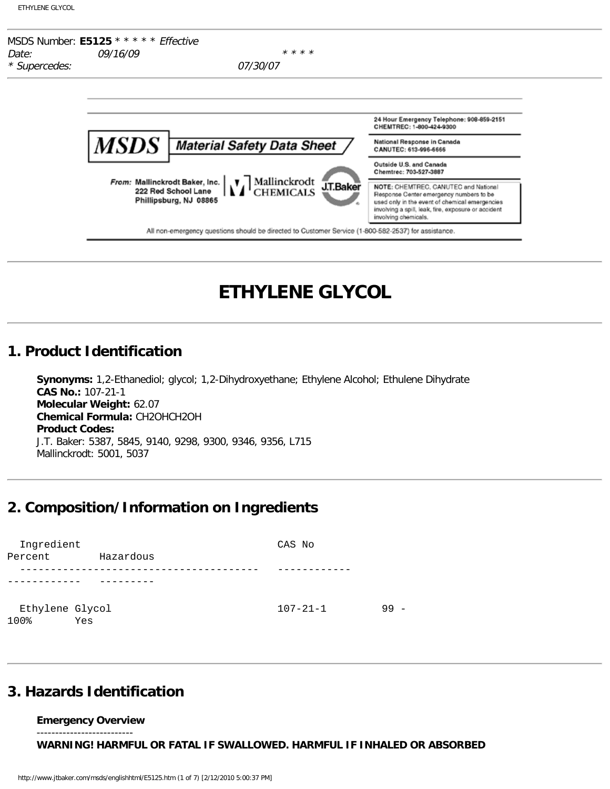| <b>ETHYLENE GLYCOL</b> |  |  |
|------------------------|--|--|
|                        |  |  |



# **ETHYLENE GLYCOL**

### **1. Product Identification**

**Synonyms:** 1,2-Ethanediol; glycol; 1,2-Dihydroxyethane; Ethylene Alcohol; Ethulene Dihydrate **CAS No.:** 107-21-1 **Molecular Weight:** 62.07 **Chemical Formula:** CH2OHCH2OH **Product Codes:** J.T. Baker: 5387, 5845, 9140, 9298, 9300, 9346, 9356, L715 Mallinckrodt: 5001, 5037

# **2. Composition/Information on Ingredients**

| Ingredient              |           | CAS No         |    |
|-------------------------|-----------|----------------|----|
| Percent                 | Hazardous |                |    |
|                         |           |                |    |
|                         |           |                |    |
| Ethylene Glycol<br>100% | Yes       | $107 - 21 - 1$ | 99 |

### **3. Hazards Identification**

**Emergency Overview** --------------------------

**WARNING! HARMFUL OR FATAL IF SWALLOWED. HARMFUL IF INHALED OR ABSORBED**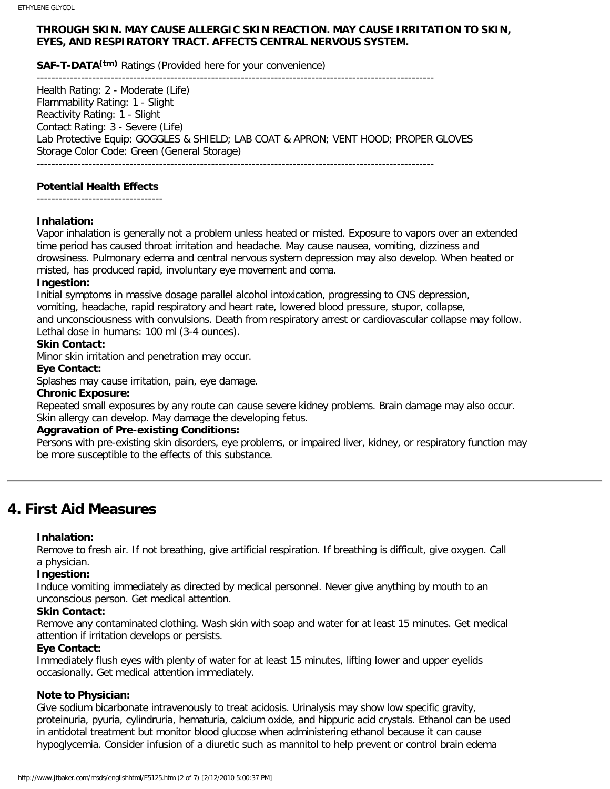### **THROUGH SKIN. MAY CAUSE ALLERGIC SKIN REACTION. MAY CAUSE IRRITATION TO SKIN, EYES, AND RESPIRATORY TRACT. AFFECTS CENTRAL NERVOUS SYSTEM.**

-----------------------------------------------------------------------------------------------------------

**SAF-T-DATA(tm)** Ratings (Provided here for your convenience)

Health Rating: 2 - Moderate (Life) Flammability Rating: 1 - Slight Reactivity Rating: 1 - Slight Contact Rating: 3 - Severe (Life) Lab Protective Equip: GOGGLES & SHIELD; LAB COAT & APRON; VENT HOOD; PROPER GLOVES Storage Color Code: Green (General Storage)

-----------------------------------------------------------------------------------------------------------

### **Potential Health Effects**

----------------------------------

### **Inhalation:**

Vapor inhalation is generally not a problem unless heated or misted. Exposure to vapors over an extended time period has caused throat irritation and headache. May cause nausea, vomiting, dizziness and drowsiness. Pulmonary edema and central nervous system depression may also develop. When heated or misted, has produced rapid, involuntary eye movement and coma.

### **Ingestion:**

Initial symptoms in massive dosage parallel alcohol intoxication, progressing to CNS depression, vomiting, headache, rapid respiratory and heart rate, lowered blood pressure, stupor, collapse, and unconsciousness with convulsions. Death from respiratory arrest or cardiovascular collapse may follow. Lethal dose in humans: 100 ml (3-4 ounces).

### **Skin Contact:**

Minor skin irritation and penetration may occur.

### **Eye Contact:**

Splashes may cause irritation, pain, eye damage.

#### **Chronic Exposure:**

Repeated small exposures by any route can cause severe kidney problems. Brain damage may also occur. Skin allergy can develop. May damage the developing fetus.

#### **Aggravation of Pre-existing Conditions:**

Persons with pre-existing skin disorders, eye problems, or impaired liver, kidney, or respiratory function may be more susceptible to the effects of this substance.

# **4. First Aid Measures**

#### **Inhalation:**

Remove to fresh air. If not breathing, give artificial respiration. If breathing is difficult, give oxygen. Call a physician.

### **Ingestion:**

Induce vomiting immediately as directed by medical personnel. Never give anything by mouth to an unconscious person. Get medical attention.

#### **Skin Contact:**

Remove any contaminated clothing. Wash skin with soap and water for at least 15 minutes. Get medical attention if irritation develops or persists.

#### **Eye Contact:**

Immediately flush eyes with plenty of water for at least 15 minutes, lifting lower and upper eyelids occasionally. Get medical attention immediately.

### **Note to Physician:**

Give sodium bicarbonate intravenously to treat acidosis. Urinalysis may show low specific gravity, proteinuria, pyuria, cylindruria, hematuria, calcium oxide, and hippuric acid crystals. Ethanol can be used in antidotal treatment but monitor blood glucose when administering ethanol because it can cause hypoglycemia. Consider infusion of a diuretic such as mannitol to help prevent or control brain edema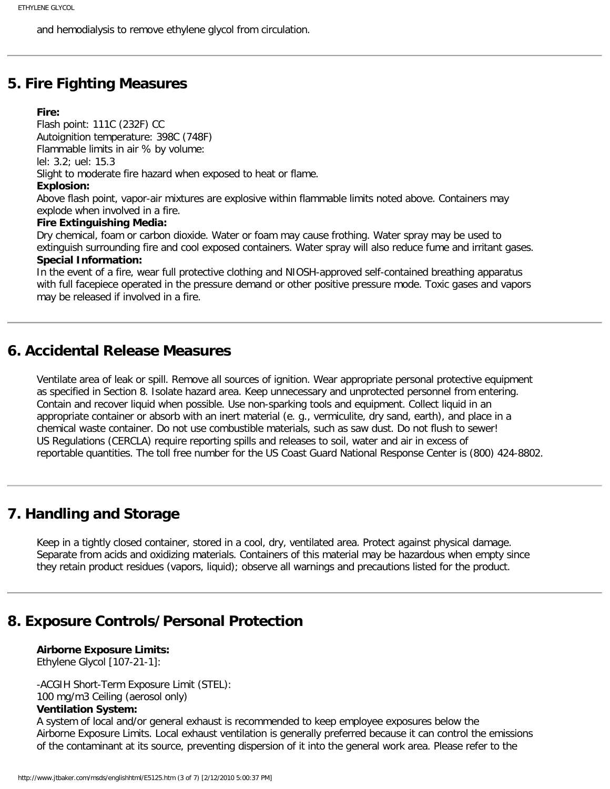and hemodialysis to remove ethylene glycol from circulation.

### **5. Fire Fighting Measures**

#### **Fire:**

Flash point: 111C (232F) CC Autoignition temperature: 398C (748F) Flammable limits in air % by volume: lel: 3.2; uel: 15.3 Slight to moderate fire hazard when exposed to heat or flame. **Explosion:** Above flash point, vapor-air mixtures are explosive within flammable limits noted above. Containers may explode when involved in a fire. **Fire Extinguishing Media:** Dry chemical, foam or carbon dioxide. Water or foam may cause frothing. Water spray may be used to extinguish surrounding fire and cool exposed containers. Water spray will also reduce fume and irritant gases. **Special Information:**

In the event of a fire, wear full protective clothing and NIOSH-approved self-contained breathing apparatus with full facepiece operated in the pressure demand or other positive pressure mode. Toxic gases and vapors may be released if involved in a fire.

### **6. Accidental Release Measures**

Ventilate area of leak or spill. Remove all sources of ignition. Wear appropriate personal protective equipment as specified in Section 8. Isolate hazard area. Keep unnecessary and unprotected personnel from entering. Contain and recover liquid when possible. Use non-sparking tools and equipment. Collect liquid in an appropriate container or absorb with an inert material (e. g., vermiculite, dry sand, earth), and place in a chemical waste container. Do not use combustible materials, such as saw dust. Do not flush to sewer! US Regulations (CERCLA) require reporting spills and releases to soil, water and air in excess of reportable quantities. The toll free number for the US Coast Guard National Response Center is (800) 424-8802.

# **7. Handling and Storage**

Keep in a tightly closed container, stored in a cool, dry, ventilated area. Protect against physical damage. Separate from acids and oxidizing materials. Containers of this material may be hazardous when empty since they retain product residues (vapors, liquid); observe all warnings and precautions listed for the product.

# **8. Exposure Controls/Personal Protection**

**Airborne Exposure Limits:** Ethylene Glycol [107-21-1]:

-ACGIH Short-Term Exposure Limit (STEL): 100 mg/m3 Ceiling (aerosol only)

#### **Ventilation System:**

A system of local and/or general exhaust is recommended to keep employee exposures below the Airborne Exposure Limits. Local exhaust ventilation is generally preferred because it can control the emissions of the contaminant at its source, preventing dispersion of it into the general work area. Please refer to the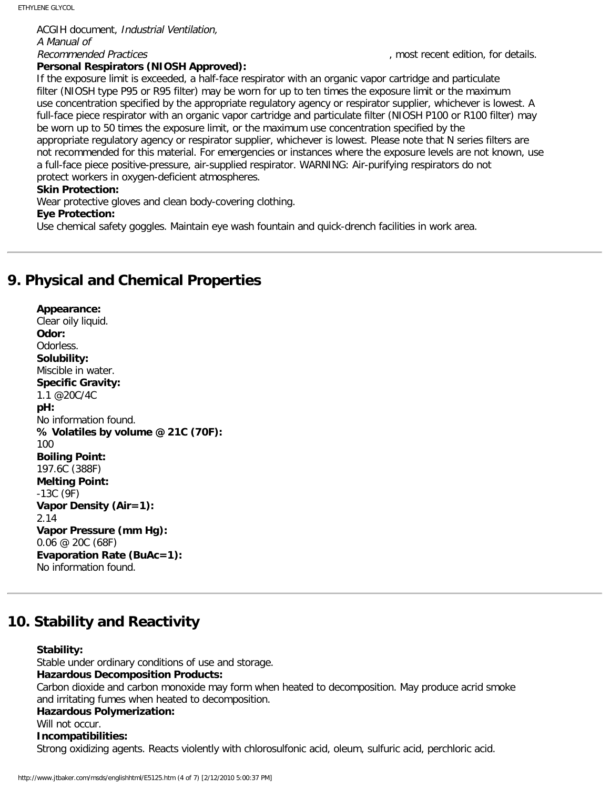ACGIH document, Industrial Ventilation, A Manual of Recommended Practices and the comment of the comment of the comment of the comment of the comment of the comment of the comment of the comment of the comment of the comment of the comment of the comment of the comment of t

### **Personal Respirators (NIOSH Approved):**

If the exposure limit is exceeded, a half-face respirator with an organic vapor cartridge and particulate filter (NIOSH type P95 or R95 filter) may be worn for up to ten times the exposure limit or the maximum use concentration specified by the appropriate regulatory agency or respirator supplier, whichever is lowest. A full-face piece respirator with an organic vapor cartridge and particulate filter (NIOSH P100 or R100 filter) may be worn up to 50 times the exposure limit, or the maximum use concentration specified by the appropriate regulatory agency or respirator supplier, whichever is lowest. Please note that N series filters are not recommended for this material. For emergencies or instances where the exposure levels are not known, use a full-face piece positive-pressure, air-supplied respirator. WARNING: Air-purifying respirators do not protect workers in oxygen-deficient atmospheres.

### **Skin Protection:**

Wear protective gloves and clean body-covering clothing.

#### **Eye Protection:**

Use chemical safety goggles. Maintain eye wash fountain and quick-drench facilities in work area.

# **9. Physical and Chemical Properties**

**Appearance:** Clear oily liquid. **Odor:** Odorless. **Solubility:** Miscible in water. **Specific Gravity:** 1.1 @20C/4C **pH:** No information found. **% Volatiles by volume @ 21C (70F):** 100 **Boiling Point:** 197.6C (388F) **Melting Point:** -13C (9F) **Vapor Density (Air=1):** 2.14 **Vapor Pressure (mm Hg):** 0.06 @ 20C (68F) **Evaporation Rate (BuAc=1):** No information found.

# **10. Stability and Reactivity**

#### **Stability:**

Stable under ordinary conditions of use and storage. **Hazardous Decomposition Products:** Carbon dioxide and carbon monoxide may form when heated to decomposition. May produce acrid smoke and irritating fumes when heated to decomposition. **Hazardous Polymerization:** Will not occur.

### **Incompatibilities:**

Strong oxidizing agents. Reacts violently with chlorosulfonic acid, oleum, sulfuric acid, perchloric acid.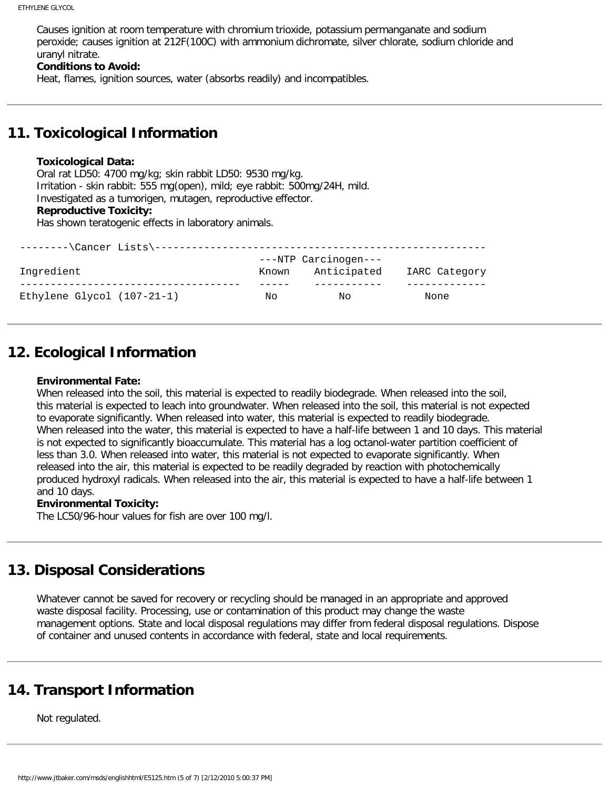Causes ignition at room temperature with chromium trioxide, potassium permanganate and sodium peroxide; causes ignition at 212F(100C) with ammonium dichromate, silver chlorate, sodium chloride and uranyl nitrate.

#### **Conditions to Avoid:**

Heat, flames, ignition sources, water (absorbs readily) and incompatibles.

# **11. Toxicological Information**

#### **Toxicological Data:**

Oral rat LD50: 4700 mg/kg; skin rabbit LD50: 9530 mg/kg. Irritation - skin rabbit: 555 mg(open), mild; eye rabbit: 500mg/24H, mild. Investigated as a tumorigen, mutagen, reproductive effector. **Reproductive Toxicity:**

Has shown teratogenic effects in laboratory animals.

| $-----\Cancer \ Lists \---$  |       |                      |               |
|------------------------------|-------|----------------------|---------------|
|                              |       | ---NTP Carcinogen--- |               |
| Ingredient                   | Known | Anticipated          | IARC Category |
|                              |       |                      |               |
| Ethylene Glycol $(107-21-1)$ | Nο    | Νo                   | None          |

# **12. Ecological Information**

#### **Environmental Fate:**

When released into the soil, this material is expected to readily biodegrade. When released into the soil, this material is expected to leach into groundwater. When released into the soil, this material is not expected to evaporate significantly. When released into water, this material is expected to readily biodegrade. When released into the water, this material is expected to have a half-life between 1 and 10 days. This material is not expected to significantly bioaccumulate. This material has a log octanol-water partition coefficient of less than 3.0. When released into water, this material is not expected to evaporate significantly. When released into the air, this material is expected to be readily degraded by reaction with photochemically produced hydroxyl radicals. When released into the air, this material is expected to have a half-life between 1 and 10 days.

#### **Environmental Toxicity:**

The LC50/96-hour values for fish are over 100 mg/l.

# **13. Disposal Considerations**

Whatever cannot be saved for recovery or recycling should be managed in an appropriate and approved waste disposal facility. Processing, use or contamination of this product may change the waste management options. State and local disposal regulations may differ from federal disposal regulations. Dispose of container and unused contents in accordance with federal, state and local requirements.

# **14. Transport Information**

Not regulated.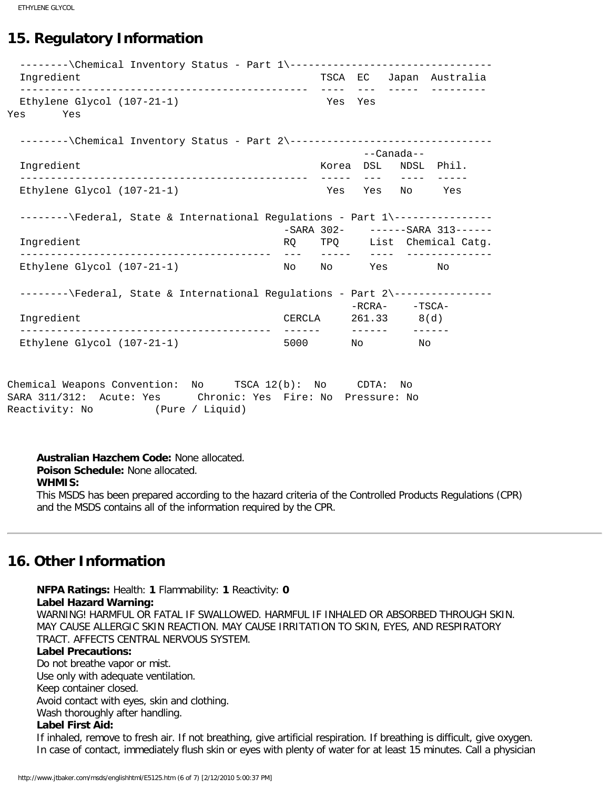ETHYLENE GLYCOL

# **15. Regulatory Information**

--------\Chemical Inventory Status - Part 1\----------------------------------- Ingredient TSCA EC Japan Australia ----------------------------------------------- ---- --- ----- --------- Ethylene Glycol (107-21-1) Yes Yes Yes Yes --------\Chemical Inventory Status - Part 2\--------------------------------- --Canada-- Ingredient  $\sim$  Korea DSL NDSL Phil. ----------------------------------------------- ----- --- ---- ----- Ethylene Glycol  $(107-21-1)$ --------\Federal, State & International Regulations - Part 1\-----------------SARA 302- ------SARA 313------<br>RQ TPQ List Chemical Catg. List Chemical Catg. ----------------------------------------- --- ----- ---- -------------- Ethylene Glycol (107-21-1) --------\Federal, State & International Regulations - Part 2\-----------------RCRA- -TSCA-<br>CERCLA 261.33 8(d) Ingredient CERCLA 261.33 8(d) ----------------------------------------- ------ ------ ------ Ethylene Glycol  $(107-21-1)$  5000 No No Chemical Weapons Convention: No TSCA 12(b): No CDTA: No SARA 311/312: Acute: Yes Chronic: Yes Fire: No Pressure: No Reactivity: No (Pure / Liquid)

**Australian Hazchem Code:** None allocated. **Poison Schedule:** None allocated. **WHMIS:** This MSDS has been prepared according to the hazard criteria of the Controlled Products Regulations (CPR) and the MSDS contains all of the information required by the CPR.

# **16. Other Information**

**NFPA Ratings:** Health: **1** Flammability: **1** Reactivity: **0 Label Hazard Warning:** WARNING! HARMFUL OR FATAL IF SWALLOWED. HARMFUL IF INHALED OR ABSORBED THROUGH SKIN. MAY CAUSE ALLERGIC SKIN REACTION. MAY CAUSE IRRITATION TO SKIN, EYES, AND RESPIRATORY TRACT. AFFECTS CENTRAL NERVOUS SYSTEM.

#### **Label Precautions:**

Do not breathe vapor or mist. Use only with adequate ventilation. Keep container closed. Avoid contact with eyes, skin and clothing. Wash thoroughly after handling.

### **Label First Aid:**

If inhaled, remove to fresh air. If not breathing, give artificial respiration. If breathing is difficult, give oxygen. In case of contact, immediately flush skin or eyes with plenty of water for at least 15 minutes. Call a physician